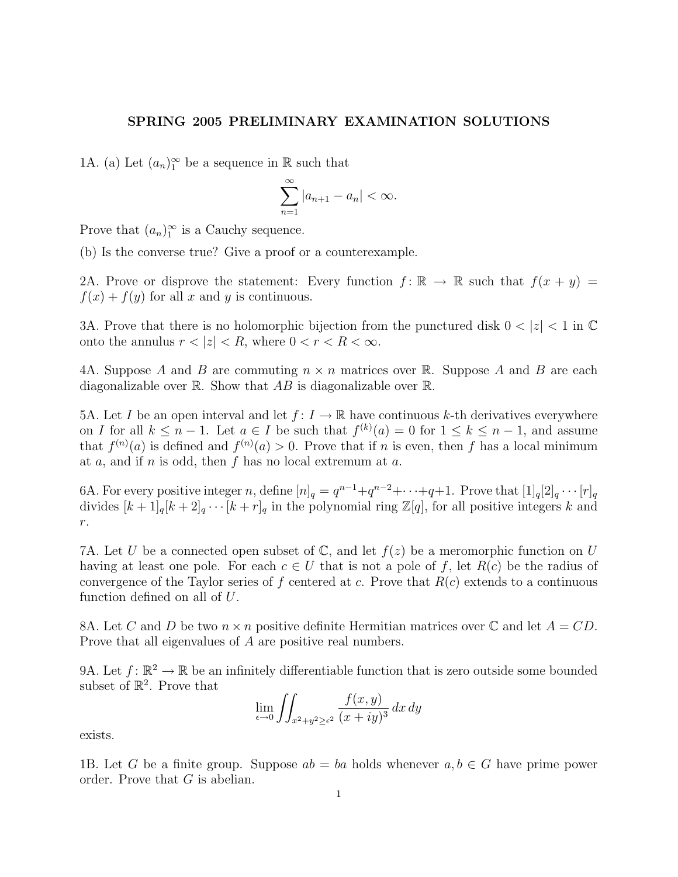## SPRING 2005 PRELIMINARY EXAMINATION SOLUTIONS

1A. (a) Let  $(a_n)_1^{\infty}$  be a sequence in  $\mathbb R$  such that

$$
\sum_{n=1}^{\infty} |a_{n+1} - a_n| < \infty.
$$

Prove that  $(a_n)_1^{\infty}$  is a Cauchy sequence.

(b) Is the converse true? Give a proof or a counterexample.

2A. Prove or disprove the statement: Every function  $f: \mathbb{R} \to \mathbb{R}$  such that  $f(x + y) =$  $f(x) + f(y)$  for all x and y is continuous.

3A. Prove that there is no holomorphic bijection from the punctured disk  $0 < |z| < 1$  in  $\mathbb{C}$ onto the annulus  $r < |z| < R$ , where  $0 < r < R < \infty$ .

4A. Suppose A and B are commuting  $n \times n$  matrices over R. Suppose A and B are each diagonalizable over  $\mathbb R$ . Show that AB is diagonalizable over  $\mathbb R$ .

5A. Let I be an open interval and let  $f: I \to \mathbb{R}$  have continuous k-th derivatives everywhere on I for all  $k \leq n-1$ . Let  $a \in I$  be such that  $f^{(k)}(a) = 0$  for  $1 \leq k \leq n-1$ , and assume that  $f^{(n)}(a)$  is defined and  $f^{(n)}(a) > 0$ . Prove that if n is even, then f has a local minimum at  $a$ , and if  $n$  is odd, then  $f$  has no local extremum at  $a$ .

6A. For every positive integer n, define  $[n]_q = q^{n-1} + q^{n-2} + \cdots + q + 1$ . Prove that  $[1]_q[2]_q \cdots [r]_q$ divides  $[k+1]_q[k+2]_q \cdots [k+r]_q$  in the polynomial ring  $\mathbb{Z}[q]$ , for all positive integers k and r.

7A. Let U be a connected open subset of  $\mathbb{C}$ , and let  $f(z)$  be a meromorphic function on U having at least one pole. For each  $c \in U$  that is not a pole of f, let  $R(c)$  be the radius of convergence of the Taylor series of f centered at c. Prove that  $R(c)$  extends to a continuous function defined on all of U.

8A. Let C and D be two  $n \times n$  positive definite Hermitian matrices over C and let  $A = CD$ . Prove that all eigenvalues of A are positive real numbers.

9A. Let  $f: \mathbb{R}^2 \to \mathbb{R}$  be an infinitely differentiable function that is zero outside some bounded subset of  $\mathbb{R}^2$ . Prove that

$$
\lim_{\epsilon \to 0} \iint_{x^2 + y^2 \ge \epsilon^2} \frac{f(x, y)}{(x + iy)^3} dx dy
$$

exists.

1B. Let G be a finite group. Suppose  $ab = ba$  holds whenever  $a, b \in G$  have prime power order. Prove that G is abelian.